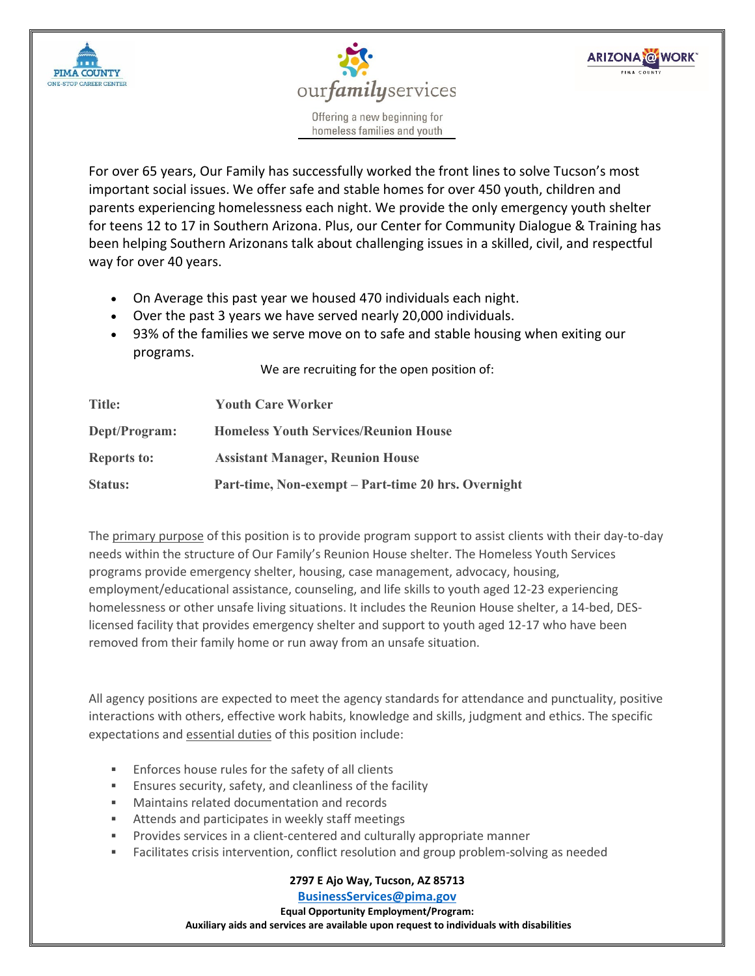



**ARIZONA @WORK** 

Offering a new beginning for homeless families and youth

For over 65 years, Our Family has successfully worked the front lines to solve Tucson's most important social issues. We offer safe and stable homes for over 450 youth, children and parents experiencing homelessness each night. We provide the only emergency youth shelter for teens 12 to 17 in Southern Arizona. Plus, our Center for Community Dialogue & Training has been helping Southern Arizonans talk about challenging issues in a skilled, civil, and respectful way for over 40 years.

- On Average this past year we housed 470 individuals each night.
- Over the past 3 years we have served nearly 20,000 individuals.
- 93% of the families we serve move on to safe and stable housing when exiting our programs.

We are recruiting for the open position of:

| Title:<br>Dept/Program: | <b>Youth Care Worker</b><br><b>Homeless Youth Services/Reunion House</b> |
|-------------------------|--------------------------------------------------------------------------|
|                         |                                                                          |
| Status:                 | Part-time, Non-exempt – Part-time 20 hrs. Overnight                      |

The primary purpose of this position is to provide program support to assist clients with their day-to-day needs within the structure of Our Family's Reunion House shelter. The Homeless Youth Services programs provide emergency shelter, housing, case management, advocacy, housing, employment/educational assistance, counseling, and life skills to youth aged 12-23 experiencing homelessness or other unsafe living situations. It includes the Reunion House shelter, a 14-bed, DESlicensed facility that provides emergency shelter and support to youth aged 12-17 who have been removed from their family home or run away from an unsafe situation.

All agency positions are expected to meet the agency standards for attendance and punctuality, positive interactions with others, effective work habits, knowledge and skills, judgment and ethics. The specific expectations and essential duties of this position include:

- Enforces house rules for the safety of all clients
- Ensures security, safety, and cleanliness of the facility
- Maintains related documentation and records
- Attends and participates in weekly staff meetings
- Provides services in a client-centered and culturally appropriate manner
- Facilitates crisis intervention, conflict resolution and group problem-solving as needed

**2797 E Ajo Way, Tucson, AZ 85713**

**[BusinessServices@pima.gov](mailto:BusinessServices@pima.gov) Equal Opportunity Employment/Program: Auxiliary aids and services are available upon request to individuals with disabilities**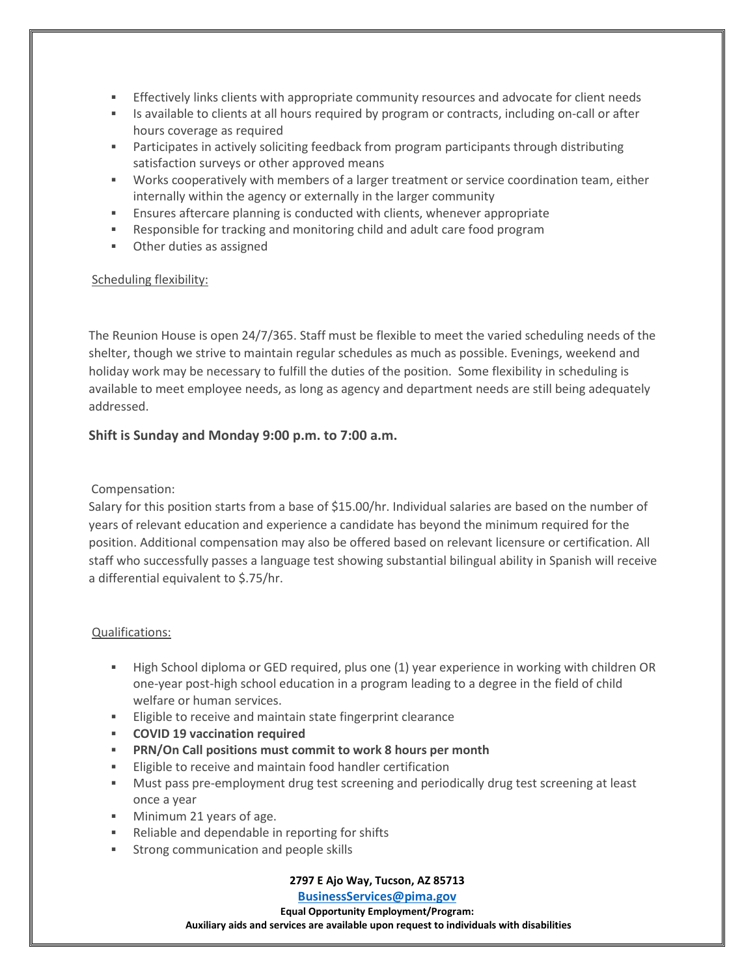- Effectively links clients with appropriate community resources and advocate for client needs
- Is available to clients at all hours required by program or contracts, including on-call or after hours coverage as required
- Participates in actively soliciting feedback from program participants through distributing satisfaction surveys or other approved means
- Works cooperatively with members of a larger treatment or service coordination team, either internally within the agency or externally in the larger community
- Ensures aftercare planning is conducted with clients, whenever appropriate
- Responsible for tracking and monitoring child and adult care food program
- Other duties as assigned

## Scheduling flexibility:

The Reunion House is open 24/7/365. Staff must be flexible to meet the varied scheduling needs of the shelter, though we strive to maintain regular schedules as much as possible. Evenings, weekend and holiday work may be necessary to fulfill the duties of the position. Some flexibility in scheduling is available to meet employee needs, as long as agency and department needs are still being adequately addressed.

# **Shift is Sunday and Monday 9:00 p.m. to 7:00 a.m.**

## Compensation:

Salary for this position starts from a base of \$15.00/hr. Individual salaries are based on the number of years of relevant education and experience a candidate has beyond the minimum required for the position. Additional compensation may also be offered based on relevant licensure or certification. All staff who successfully passes a language test showing substantial bilingual ability in Spanish will receive a differential equivalent to \$.75/hr.

## Qualifications:

- High School diploma or GED required, plus one (1) year experience in working with children OR one-year post-high school education in a program leading to a degree in the field of child welfare or human services.
- **Eligible to receive and maintain state fingerprint clearance**
- **COVID 19 vaccination required**
- **PRN/On Call positions must commit to work 8 hours per month**
- **Eligible to receive and maintain food handler certification**
- Must pass pre-employment drug test screening and periodically drug test screening at least once a year
- **Minimum 21 years of age.**
- Reliable and dependable in reporting for shifts
- **Strong communication and people skills**

## **2797 E Ajo Way, Tucson, AZ 85713**

**[BusinessServices@pima.gov](mailto:BusinessServices@pima.gov) Equal Opportunity Employment/Program: Auxiliary aids and services are available upon request to individuals with disabilities**